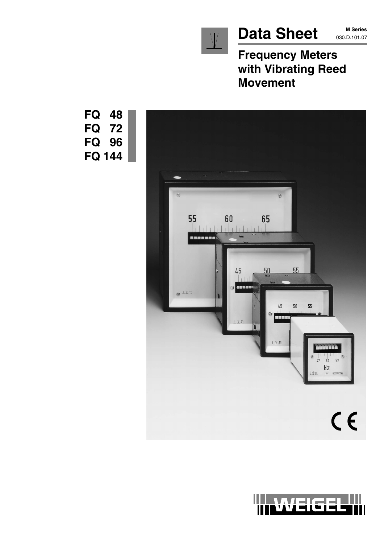

 $\bigvee$ 

**Frequency Meters with Vibrating Reed Movement**





**FQ 48 FQ 72 FQ 96 FQ 144**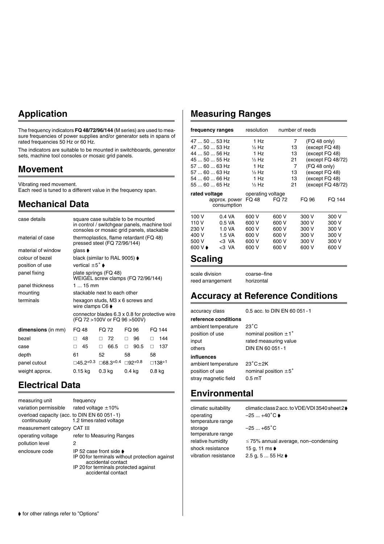## **Application**

The frequency indicators **FQ 48/72/96/144** (M series) are used to measure frequencies of power supplies and/or generator sets in spans of rated frequencies 50 Hz or 60 Hz.

The indicators are suitable to be mounted in switchboards, generator sets, machine tool consoles or mosaic grid panels.

#### **Movement**

Vibrating reed movement.

Each reed is tuned to a different value in the frequency span.

### **Mechanical Data**

| case details       |                                      | square case suitable to be mounted<br>in control / switchgear panels, machine tool |           |                                                |
|--------------------|--------------------------------------|------------------------------------------------------------------------------------|-----------|------------------------------------------------|
|                    |                                      | consoles or mosaic grid panels, stackable                                          |           |                                                |
| material of case   |                                      | thermoplastics, flame retardant (FQ 48)<br>pressed steel (FQ 72/96/144)            |           |                                                |
| material of window | qlass $\blacktriangleright$          |                                                                                    |           |                                                |
| colour of bezel    |                                      | black (similar to RAL 9005) $\blacklozenge$                                        |           |                                                |
| position of use    | vertical $\pm 5^{\circ}$ $\bullet$   |                                                                                    |           |                                                |
| panel fixing       |                                      | plate springs (FQ 48)<br>WEIGEL screw clamps (FQ 72/96/144)                        |           |                                                |
| panel thickness    | $115$ mm                             |                                                                                    |           |                                                |
| mounting           |                                      | stackable next to each other                                                       |           |                                                |
| terminals          | wire clamps $C6 \blacktriangleright$ | hexagon studs, M3 x 6 screws and                                                   |           |                                                |
|                    |                                      | (FQ 72 >100V or FQ 96 >500V)                                                       |           | connector blades 6.3 x 0.8 for protective wire |
| dimensions (in mm) | FQ 48                                | FQ 72                                                                              | FQ 96     | FO 144                                         |
| hezel              | 48<br>п                              | - 72<br>П.                                                                         | 96<br>п   | 144<br>п                                       |
| case               | 45<br>п                              | 66.5<br>п                                                                          | 90.5<br>□ | 137<br>п                                       |
| depth              | 61                                   | 52                                                                                 | 58        | 58                                             |
| panel cutout       | □45.2+0.3                            | ⊟68.3+0.4                                                                          | ⊟92+0.8   | □138+1                                         |
| weight approx.     | $0.15$ kg                            | $0.3$ kg                                                                           | $0.4$ kg  | $0.8$ kg                                       |
|                    |                                      |                                                                                    |           |                                                |

### **Electrical Data**

| measuring unit                                              | frequency                                                                                                                                                              |
|-------------------------------------------------------------|------------------------------------------------------------------------------------------------------------------------------------------------------------------------|
| variation permissible                                       | rated voltage $\pm 10\%$                                                                                                                                               |
| overload capacity (acc. to DIN EN 60 051-1)<br>continuously | 1.2 times rated voltage                                                                                                                                                |
| measurement category CAT III                                |                                                                                                                                                                        |
| operating voltage                                           | refer to Measuring Ranges                                                                                                                                              |
| pollution level                                             | 2                                                                                                                                                                      |
| enclosure code                                              | IP 52 case front side $\bullet$<br>IP 00 for terminals without protection against<br>accidental contact<br>IP 20 for terminals protected against<br>accidental contact |

### **Measuring Ranges**

| frequency ranges |                              | resolution                 |       |    | number of reeds |                     |
|------------------|------------------------------|----------------------------|-------|----|-----------------|---------------------|
| 47  50  53 Hz    |                              | 1 Hz                       |       | 7  | $(FQ 48$ only)  |                     |
| 47  50  53 Hz    |                              | $\frac{1}{2}$ Hz           |       | 13 | (except FQ 48)  |                     |
| 44  50  56 Hz    |                              | 1 Hz                       |       | 13 | (except FQ 48)  |                     |
| 45  50  55 Hz    |                              | $\frac{1}{2}$ Hz           |       | 21 |                 | (except FQ 48/72)   |
| 57  60  63 Hz    |                              | 1 Hz                       |       | 7  | (FQ 48 only)    |                     |
| 57  60  63 Hz    |                              | $\frac{1}{2}$ Hz           |       | 13 | (except FQ 48)  |                     |
| 54  60  66 Hz    |                              | 1 Hz                       |       | 13 | (except FQ 48)  |                     |
| 55  60  65 Hz    |                              | $\frac{1}{2}$ Hz           |       | 21 |                 | (except $FQ$ 48/72) |
| rated voltage    | approx. power<br>consumption | operating voltage<br>FQ 48 | FQ 72 |    | FQ 96           | FO 144              |
| 100 V            | $0.4 \text{ VA}$             | 600 V                      | 600 V |    | 300 V           | 300 V               |
| 110 V            | 0.5 VA                       | 600 V                      | 600 V |    | 300 V           | 300 V               |
| 230 V            | 1.0 VA                       | 600 V                      | 600 V |    | 300 V           | 300 V               |
| 400 V            | 1.5 VA                       | 600 V                      | 600 V |    | 300 V           | 300 V               |
| 500 V            | $3 VA$                       | 600 V                      | 600 V |    | 300 V           | 300 V               |
| 600 V D          | $3 VA$                       | 600 V                      | 600 V |    | 600 V           | 600 V               |
|                  |                              |                            |       |    |                 |                     |

#### **Scaling**

scale division coarse–fine reed arrangement horizontal

### **Accuracy at Reference Conditions**

accuracy class 0.5 acc. to DIN EN 60 051-1 **reference conditions** ambient temperature  $23^{\circ}$ C position of use nominal position  $\pm 1^{\circ}$ input rated measuring value others DIN EN 60 051-1 **influences** ambient temperature stray magnetic field 0.5 mT

 $23^{\circ}$ C $\pm$ 2K position of use nominal position  $\pm 5^{\circ}$ 

### **Environmental**

operating  $-25 ... +40^{\circ} \text{C}$ temperature range storage  $-25...+65^{\circ}$ C temperature range shock resistance 15 g, 11 ms vibration resistance  $2.5 g$ ,  $5 ... 55 Hz$ 

climatic suitability climatic class 2 acc. to VDE/VDI 3540 sheet 2 $\blacklozenge$ 

relative humidity  $\leq 75\%$  annual average, non–condensing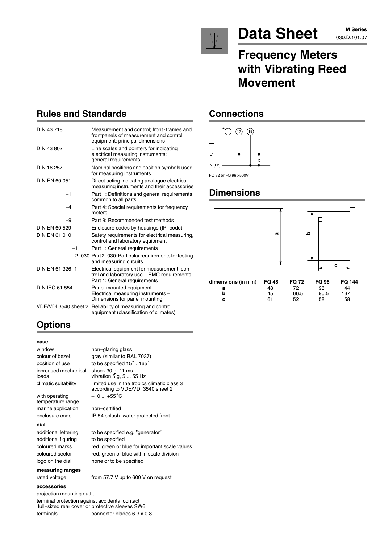

# Data Sheet MSeries

# **Frequency Meters with Vibrating Reed Movement**

### **Rules and Standards**

| DIN 43718             | Measurement and control; front-frames and<br>frontpanels of measurement and control<br>equipment; principal dimensions   |
|-----------------------|--------------------------------------------------------------------------------------------------------------------------|
| DIN 43 802            | Line scales and pointers for indicating<br>electrical measuring instruments;<br>general requirements                     |
| DIN 16 257            | Nominal positions and position symbols used<br>for measuring instruments                                                 |
| DIN EN 60 051         | Direct acting indicating analogue electrical<br>measuring instruments and their accessories                              |
| $-1$                  | Part 1: Definitions and general requirements<br>common to all parts                                                      |
| -4                    | Part 4: Special requirements for frequency<br>meters                                                                     |
| -9                    | Part 9: Recommended test methods                                                                                         |
| DIN EN 60 529         | Enclosure codes by housings (IP-code)                                                                                    |
| DIN FN 61 010         | Safety requirements for electrical measuring,<br>control and laboratory equipment                                        |
| $-1$                  | Part 1: General requirements                                                                                             |
|                       | -2-030 Part2-030: Particular requirements for testing<br>and measuring circuits                                          |
| DIN EN 61 326-1       | Electrical equipment for measurement, con-<br>trol and laboratory use - EMC requirements<br>Part 1: General requirements |
| <b>DIN IEC 61 554</b> | Panel mounted equipment -<br>Electrical measuring instruments -<br>Dimensions for panel mounting                         |
| VDE/VDI 3540 sheet 2  | Reliability of measuring and control<br>equipment (classification of climates)                                           |

# **Options**

#### **case**

| window                              | non-glaring glass                                                                |
|-------------------------------------|----------------------------------------------------------------------------------|
| colour of bezel                     | gray (similar to RAL 7037)                                                       |
| position of use                     | to be specified 15°165°                                                          |
| increased mechanical<br>loads       | shock 30 g, 11 ms<br>vibration 5 g, 5  55 Hz                                     |
| climatic suitability                | limited use in the tropics climatic class 3<br>according to VDE/VDI 3540 sheet 2 |
| with operating<br>temperature range | $-10+55^{\circ}$ C                                                               |
| marine application                  | non-certified                                                                    |
| enclosure code                      | IP 54 splash-water protected front                                               |
| dial                                |                                                                                  |
| additional lettering                | to be specified e.g. "generator"                                                 |
| additional figuring                 | to be specified                                                                  |
| coloured marks                      | red, green or blue for important scale values                                    |
| coloured sector                     | red, green or blue within scale division                                         |
| logo on the dial                    | none or to be specified                                                          |
| measuring ranges                    |                                                                                  |
| rated voltage                       | from 57.7 V up to 600 V on request                                               |
| accessories                         |                                                                                  |

#### **measuring ranges**

#### **accessories**

projection mounting outfit

terminal protection against accidental contact full–sized rear cover or protective sleeves SW6 terminals connector blades 6.3 x 0.8

#### **Connections**



#### **Dimensions**



| $dimensions$ $(in \, mm)$ $FQ$ 48 |    | <b>FQ 72</b> | FQ 96 | FQ 144 |
|-----------------------------------|----|--------------|-------|--------|
|                                   | 48 | 72.          | 96.   | 144    |
|                                   | 45 | 66.5         | 90.5  | 137    |
|                                   | 61 | 52           | 58.   | 58     |